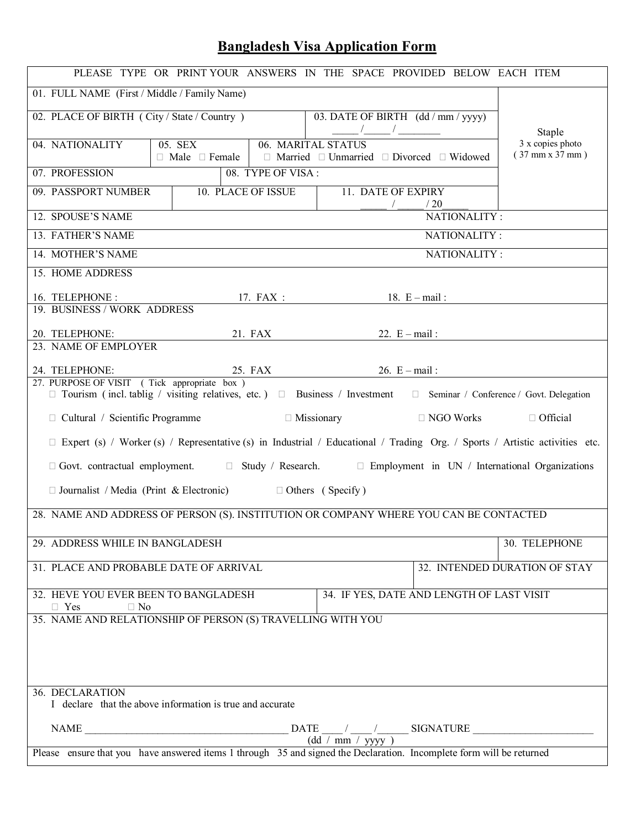## **Bangladesh Visa Application Form**

| PLEASE TYPE OR PRINT YOUR ANSWERS IN THE SPACE PROVIDED BELOW EACH ITEM                                                                                                                                                                                                                                                                                                                                                                                |                                                                      |  |  |
|--------------------------------------------------------------------------------------------------------------------------------------------------------------------------------------------------------------------------------------------------------------------------------------------------------------------------------------------------------------------------------------------------------------------------------------------------------|----------------------------------------------------------------------|--|--|
| 01. FULL NAME (First / Middle / Family Name)                                                                                                                                                                                                                                                                                                                                                                                                           |                                                                      |  |  |
| 02. PLACE OF BIRTH (City / State / Country)                                                                                                                                                                                                                                                                                                                                                                                                            | 03. DATE OF BIRTH (dd / mm / yyyy)<br>$\frac{1}{\sqrt{2}}$<br>Staple |  |  |
| 3 x copies photo<br>04. NATIONALITY<br>05. SEX<br>06. MARITAL STATUS<br>$(37$ mm $x 37$ mm $)$<br>$\Box$ Male $\Box$ Female $\Box$<br>$\Box$ Married $\Box$ Unmarried $\Box$ Divorced $\Box$ Widowed                                                                                                                                                                                                                                                   |                                                                      |  |  |
| 07. PROFESSION<br>08. TYPE OF VISA:                                                                                                                                                                                                                                                                                                                                                                                                                    |                                                                      |  |  |
| 09. PASSPORT NUMBER<br><b>10. PLACE OF ISSUE</b>                                                                                                                                                                                                                                                                                                                                                                                                       | 11. DATE OF EXPIRY<br>/20                                            |  |  |
| NATIONALITY:<br>12. SPOUSE'S NAME                                                                                                                                                                                                                                                                                                                                                                                                                      |                                                                      |  |  |
| 13. FATHER'S NAME                                                                                                                                                                                                                                                                                                                                                                                                                                      | NATIONALITY:                                                         |  |  |
| 14. MOTHER'S NAME                                                                                                                                                                                                                                                                                                                                                                                                                                      | NATIONALITY:                                                         |  |  |
| 15. HOME ADDRESS                                                                                                                                                                                                                                                                                                                                                                                                                                       |                                                                      |  |  |
| 16. TELEPHONE:<br>$17.$ FAX :                                                                                                                                                                                                                                                                                                                                                                                                                          | 18. $E - mail$ :                                                     |  |  |
| 19. BUSINESS / WORK ADDRESS                                                                                                                                                                                                                                                                                                                                                                                                                            |                                                                      |  |  |
| 20. TELEPHONE:<br>21. FAX                                                                                                                                                                                                                                                                                                                                                                                                                              | 22. $E - mail$ :                                                     |  |  |
| 23. NAME OF EMPLOYER                                                                                                                                                                                                                                                                                                                                                                                                                                   |                                                                      |  |  |
| 24. TELEPHONE:<br>25. FAX                                                                                                                                                                                                                                                                                                                                                                                                                              | 26. $E - mail$ :                                                     |  |  |
| 27. PURPOSE OF VISIT (Tick appropriate box)<br>$\Box$ Tourism (incl. tablig / visiting relatives, etc.) $\Box$ Business / Investment $\Box$ Seminar / Conference / Govt. Delegation                                                                                                                                                                                                                                                                    |                                                                      |  |  |
|                                                                                                                                                                                                                                                                                                                                                                                                                                                        | $\Box$ Official                                                      |  |  |
| $\Box$ Missionary<br>$\Box$ Cultural / Scientific Programme                                                                                                                                                                                                                                                                                                                                                                                            | $\Box$ NGO Works                                                     |  |  |
| $\Box$ Expert (s) / Worker (s) / Representative (s) in Industrial / Educational / Trading Org. / Sports / Artistic activities etc.                                                                                                                                                                                                                                                                                                                     |                                                                      |  |  |
| $\Box$ Govt. contractual employment. $\Box$ Study / Research. $\Box$ Employment in UN / International Organizations                                                                                                                                                                                                                                                                                                                                    |                                                                      |  |  |
| $\Box$ Journalist / Media (Print & Electronic) $\Box$ Others (Specify)                                                                                                                                                                                                                                                                                                                                                                                 |                                                                      |  |  |
| 28. NAME AND ADDRESS OF PERSON (S). INSTITUTION OR COMPANY WHERE YOU CAN BE CONTACTED                                                                                                                                                                                                                                                                                                                                                                  |                                                                      |  |  |
| 29. ADDRESS WHILE IN BANGLADESH                                                                                                                                                                                                                                                                                                                                                                                                                        | 30. TELEPHONE                                                        |  |  |
| 31. PLACE AND PROBABLE DATE OF ARRIVAL                                                                                                                                                                                                                                                                                                                                                                                                                 | 32. INTENDED DURATION OF STAY                                        |  |  |
| 32. HEVE YOU EVER BEEN TO BANGLADESH<br>34. IF YES, DATE AND LENGTH OF LAST VISIT<br>$\Box$ Yes<br>$\Box$ No                                                                                                                                                                                                                                                                                                                                           |                                                                      |  |  |
| 35. NAME AND RELATIONSHIP OF PERSON (S) TRAVELLING WITH YOU                                                                                                                                                                                                                                                                                                                                                                                            |                                                                      |  |  |
|                                                                                                                                                                                                                                                                                                                                                                                                                                                        |                                                                      |  |  |
|                                                                                                                                                                                                                                                                                                                                                                                                                                                        |                                                                      |  |  |
|                                                                                                                                                                                                                                                                                                                                                                                                                                                        |                                                                      |  |  |
| 36. DECLARATION                                                                                                                                                                                                                                                                                                                                                                                                                                        |                                                                      |  |  |
| I declare that the above information is true and accurate                                                                                                                                                                                                                                                                                                                                                                                              |                                                                      |  |  |
| $\begin{array}{c c c c c} \texttt{NAME}\hspace{0.09cm}\underline{\hspace{0.09cm}}\hspace{0.09cm}\texttt{NAME}\hspace{0.09cm}\underline{\hspace{0.09cm}}\hspace{0.09cm}\texttt{GNATURE}\hspace{0.09cm}\underline{\hspace{0.09cm}}\hspace{0.09cm}\texttt{GNATURE}\hspace{0.09cm}\underline{\hspace{0.09cm}}\hspace{0.09cm}\texttt{GNATURE}\hspace{0.09cm}\underline{\hspace{0.09cm}}\hspace{0.09cm}\texttt{GNATURE}\hspace{0.09cm}\underline{\hspace{0.$ |                                                                      |  |  |
| Please ensure that you have answered items 1 through $35$ and signed the Declaration. Incomplete form will be returned                                                                                                                                                                                                                                                                                                                                 |                                                                      |  |  |